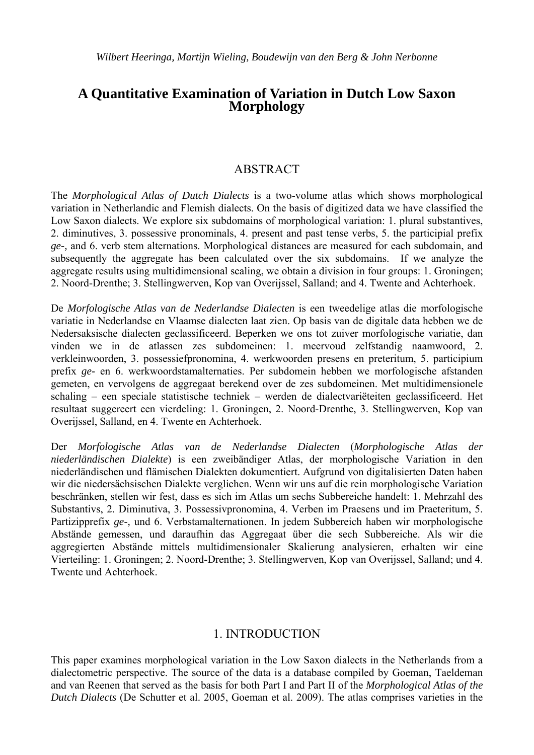# **A Quantitative Examination of Variation in Dutch Low Saxon Morphology**

## ABSTRACT

The *Morphological Atlas of Dutch Dialects* is a two-volume atlas which shows morphological variation in Netherlandic and Flemish dialects. On the basis of digitized data we have classified the Low Saxon dialects. We explore six subdomains of morphological variation: 1. plural substantives, 2. diminutives, 3. possessive pronominals, 4. present and past tense verbs, 5. the participial prefix *ge-,* and 6. verb stem alternations. Morphological distances are measured for each subdomain, and subsequently the aggregate has been calculated over the six subdomains. If we analyze the aggregate results using multidimensional scaling, we obtain a division in four groups: 1. Groningen; 2. Noord-Drenthe; 3. Stellingwerven, Kop van Overijssel, Salland; and 4. Twente and Achterhoek.

De *Morfologische Atlas van de Nederlandse Dialecten* is een tweedelige atlas die morfologische variatie in Nederlandse en Vlaamse dialecten laat zien. Op basis van de digitale data hebben we de Nedersaksische dialecten geclassificeerd. Beperken we ons tot zuiver morfologische variatie, dan vinden we in de atlassen zes subdomeinen: 1. meervoud zelfstandig naamwoord, 2. verkleinwoorden, 3. possessiefpronomina, 4. werkwoorden presens en preteritum, 5. participium prefix *ge-* en 6. werkwoordstamalternaties. Per subdomein hebben we morfologische afstanden gemeten, en vervolgens de aggregaat berekend over de zes subdomeinen. Met multidimensionele schaling – een speciale statistische techniek – werden de dialectvariëteiten geclassificeerd. Het resultaat suggereert een vierdeling: 1. Groningen, 2. Noord-Drenthe, 3. Stellingwerven, Kop van Overijssel, Salland, en 4. Twente en Achterhoek.

Der *Morfologische Atlas van de Nederlandse Dialecten* (*Morphologische Atlas der niederländischen Dialekte*) is een zweibändiger Atlas, der morphologische Variation in den niederländischen und flämischen Dialekten dokumentiert. Aufgrund von digitalisierten Daten haben wir die niedersächsischen Dialekte verglichen. Wenn wir uns auf die rein morphologische Variation beschränken, stellen wir fest, dass es sich im Atlas um sechs Subbereiche handelt: 1. Mehrzahl des Substantivs, 2. Diminutiva, 3. Possessivpronomina, 4. Verben im Praesens und im Praeteritum, 5. Partizipprefix *ge-,* und 6. Verbstamalternationen. In jedem Subbereich haben wir morphologische Abstände gemessen, und daraufhin das Aggregaat über die sech Subbereiche. Als wir die aggregierten Abstände mittels multidimensionaler Skalierung analysieren, erhalten wir eine Vierteiling: 1. Groningen; 2. Noord-Drenthe; 3. Stellingwerven, Kop van Overijssel, Salland; und 4. Twente und Achterhoek.

## 1. INTRODUCTION

This paper examines morphological variation in the Low Saxon dialects in the Netherlands from a dialectometric perspective. The source of the data is a database compiled by Goeman, Taeldeman and van Reenen that served as the basis for both Part I and Part II of the *Morphological Atlas of the Dutch Dialects* (De Schutter et al. 2005, Goeman et al. 2009). The atlas comprises varieties in the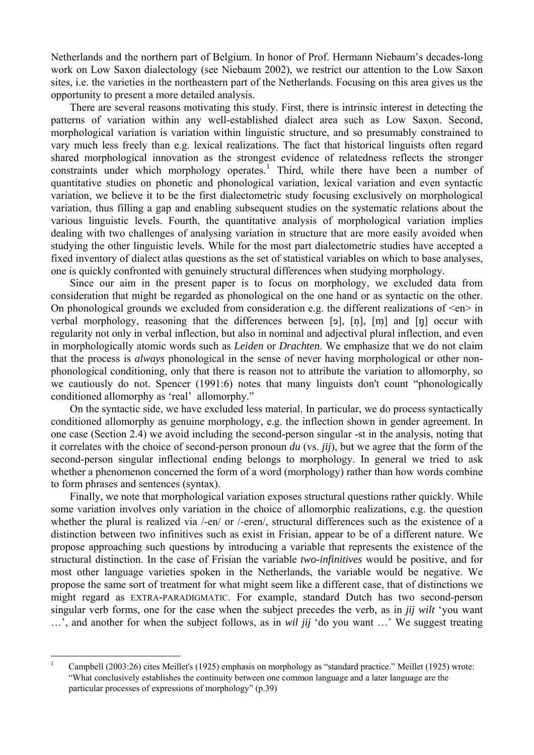Netherlands and the northern part of Belgium. In honor of Prof. Hermann Niebaum's decades-long work on Low Saxon dialectology (see Niebaum 2002), we restrict our attention to the Low Saxon sites, i.e. the varieties in the northeastern part of the Netherlands. Focusing on this area gives us the opportunity to present a more detailed analysis.

 There are several reasons motivating this study. First, there is intrinsic interest in detecting the patterns of variation within any well-established dialect area such as Low Saxon. Second, morphological variation is variation within linguistic structure, and so presumably constrained to vary much less freely than e.g. lexical realizations. The fact that historical linguists often regard shared morphological innovation as the strongest evidence of relatedness reflects the stronger constraints under which morphology operates.<sup>[1](#page-1-0)</sup> Third, while there have been a number of quantitative studies on phonetic and phonological variation, lexical variation and even syntactic variation, we believe it to be the first dialectometric study focusing exclusively on morphological variation, thus filling a gap and enabling subsequent studies on the systematic relations about the various linguistic levels. Fourth, the quantitative analysis of morphological variation implies dealing with two challenges of analysing variation in structure that are more easily avoided when studying the other linguistic levels. While for the most part dialectometric studies have accepted a fixed inventory of dialect atlas questions as the set of statistical variables on which to base analyses, one is quickly confronted with genuinely structural differences when studying morphology.

 Since our aim in the present paper is to focus on morphology, we excluded data from consideration that might be regarded as phonological on the one hand or as syntactic on the other. On phonological grounds we excluded from consideration e.g. the different realizations of  $\leq en$  in verbal morphology, reasoning that the differences between [9],  $[n]$ ,  $[m]$  and  $[n]$  occur with regularity not only in verbal inflection, but also in nominal and adjectival plural inflection, and even in morphologically atomic words such as *Leiden* or *Drachten*. We emphasize that we do not claim that the process is *always* phonological in the sense of never having morphological or other nonphonological conditioning, only that there is reason not to attribute the variation to allomorphy, so we cautiously do not. Spencer (1991:6) notes that many linguists don't count "phonologically conditioned allomorphy as 'real' allomorphy."

 On the syntactic side, we have excluded less material. In particular, we do process syntactically conditioned allomorphy as genuine morphology, e.g. the inflection shown in gender agreement. In one case (Section 2.4) we avoid including the second-person singular -st in the analysis, noting that it correlates with the choice of second-person pronoun *du* (vs. *jij*), but we agree that the form of the second-person singular inflectional ending belongs to morphology. In general we tried to ask whether a phenomenon concerned the form of a word (morphology) rather than how words combine to form phrases and sentences (syntax).

 Finally, we note that morphological variation exposes structural questions rather quickly. While some variation involves only variation in the choice of allomorphic realizations, e.g. the question whether the plural is realized via /-en/ or /-eren/, structural differences such as the existence of a distinction between two infinitives such as exist in Frisian, appear to be of a different nature. We propose approaching such questions by introducing a variable that represents the existence of the structural distinction. In the case of Frisian the variable *two-infinitives* would be positive, and for most other language varieties spoken in the Netherlands, the variable would be negative. We propose the same sort of treatment for what might seem like a different case, that of distinctions we might regard as EXTRA-PARADIGMATIC. For example, standard Dutch has two second-person singular verb forms, one for the case when the subject precedes the verb, as in *jij wilt* 'you want …', and another for when the subject follows, as in *wil jij* 'do you want …' We suggest treating

<span id="page-1-0"></span> $\overline{1}$ 1 Campbell (2003:26) cites Meillet's (1925) emphasis on morphology as "standard practice." Meillet (1925) wrote: "What conclusively establishes the continuity between one common language and a later language are the particular processes of expressions of morphology" (p.39)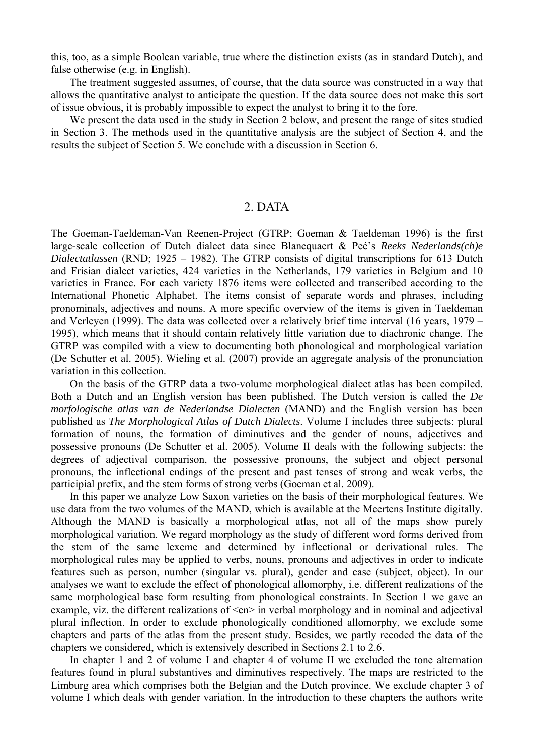this, too, as a simple Boolean variable, true where the distinction exists (as in standard Dutch), and false otherwise (e.g. in English).

 The treatment suggested assumes, of course, that the data source was constructed in a way that allows the quantitative analyst to anticipate the question. If the data source does not make this sort of issue obvious, it is probably impossible to expect the analyst to bring it to the fore.

 We present the data used in the study in Section 2 below, and present the range of sites studied in Section 3. The methods used in the quantitative analysis are the subject of Section 4, and the results the subject of Section 5. We conclude with a discussion in Section 6.

## 2. DATA

The Goeman-Taeldeman-Van Reenen-Project (GTRP; Goeman & Taeldeman 1996) is the first large-scale collection of Dutch dialect data since Blancquaert & Peé's *Reeks Nederlands(ch)e Dialectatlassen* (RND; 1925 – 1982). The GTRP consists of digital transcriptions for 613 Dutch and Frisian dialect varieties, 424 varieties in the Netherlands, 179 varieties in Belgium and 10 varieties in France. For each variety 1876 items were collected and transcribed according to the International Phonetic Alphabet. The items consist of separate words and phrases, including pronominals, adjectives and nouns. A more specific overview of the items is given in Taeldeman and Verleyen (1999). The data was collected over a relatively brief time interval (16 years, 1979 – 1995), which means that it should contain relatively little variation due to diachronic change. The GTRP was compiled with a view to documenting both phonological and morphological variation (De Schutter et al. 2005). Wieling et al. (2007) provide an aggregate analysis of the pronunciation variation in this collection.

 On the basis of the GTRP data a two-volume morphological dialect atlas has been compiled. Both a Dutch and an English version has been published. The Dutch version is called the *De morfologische atlas van de Nederlandse Dialecten* (MAND) and the English version has been published as *The Morphological Atlas of Dutch Dialects*. Volume I includes three subjects: plural formation of nouns, the formation of diminutives and the gender of nouns, adjectives and possessive pronouns (De Schutter et al. 2005). Volume II deals with the following subjects: the degrees of adjectival comparison, the possessive pronouns, the subject and object personal pronouns, the inflectional endings of the present and past tenses of strong and weak verbs, the participial prefix, and the stem forms of strong verbs (Goeman et al. 2009).

 In this paper we analyze Low Saxon varieties on the basis of their morphological features. We use data from the two volumes of the MAND, which is available at the Meertens Institute digitally. Although the MAND is basically a morphological atlas, not all of the maps show purely morphological variation. We regard morphology as the study of different word forms derived from the stem of the same lexeme and determined by inflectional or derivational rules. The morphological rules may be applied to verbs, nouns, pronouns and adjectives in order to indicate features such as person, number (singular vs. plural), gender and case (subject, object). In our analyses we want to exclude the effect of phonological allomorphy, i.e. different realizations of the same morphological base form resulting from phonological constraints. In Section 1 we gave an example, viz. the different realizations of  $\leq$ en $\geq$  in verbal morphology and in nominal and adjectival plural inflection. In order to exclude phonologically conditioned allomorphy, we exclude some chapters and parts of the atlas from the present study. Besides, we partly recoded the data of the chapters we considered, which is extensively described in Sections 2.1 to 2.6.

 In chapter 1 and 2 of volume I and chapter 4 of volume II we excluded the tone alternation features found in plural substantives and diminutives respectively. The maps are restricted to the Limburg area which comprises both the Belgian and the Dutch province. We exclude chapter 3 of volume I which deals with gender variation. In the introduction to these chapters the authors write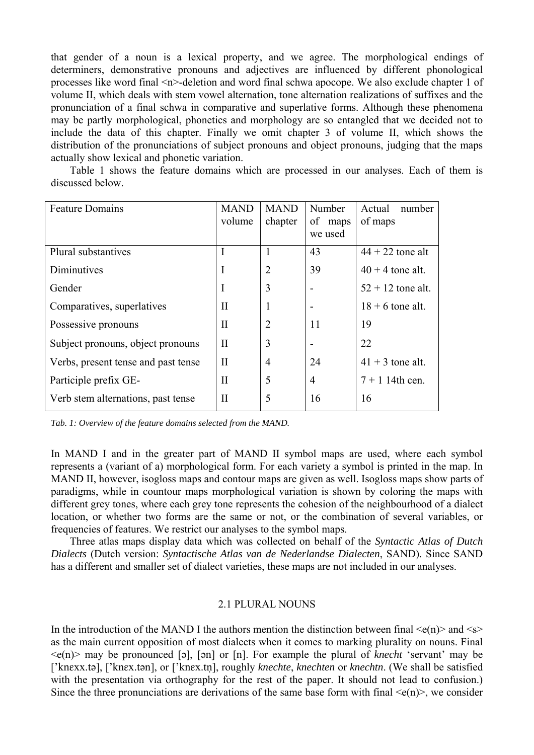that gender of a noun is a lexical property, and we agree. The morphological endings of determiners, demonstrative pronouns and adjectives are influenced by different phonological processes like word final <n>-deletion and word final schwa apocope. We also exclude chapter 1 of volume II, which deals with stem vowel alternation, tone alternation realizations of suffixes and the pronunciation of a final schwa in comparative and superlative forms. Although these phenomena may be partly morphological, phonetics and morphology are so entangled that we decided not to include the data of this chapter. Finally we omit chapter 3 of volume II, which shows the distribution of the pronunciations of subject pronouns and object pronouns, judging that the maps actually show lexical and phonetic variation.

 Table 1 shows the feature domains which are processed in our analyses. Each of them is discussed below.

| <b>Feature Domains</b>              | <b>MAND</b><br>volume | <b>MAND</b><br>chapter | Number<br>of<br>maps     | Actual<br>number<br>of maps |
|-------------------------------------|-----------------------|------------------------|--------------------------|-----------------------------|
|                                     |                       |                        | we used                  |                             |
| Plural substantives                 | I                     |                        | 43                       | $44 + 22$ tone alt          |
| Diminutives                         | I                     | $\overline{2}$         | 39                       | $40 + 4$ tone alt.          |
| Gender                              |                       | 3                      | $\overline{\phantom{0}}$ | $52 + 12$ tone alt.         |
| Comparatives, superlatives          | $\mathbf{I}$          |                        |                          | $18 + 6$ tone alt.          |
| Possessive pronouns                 | $\mathbf{I}$          | $\overline{2}$         | 11                       | 19                          |
| Subject pronouns, object pronouns   | $\mathbf{I}$          | 3                      |                          | 22                          |
| Verbs, present tense and past tense | $\mathbf{I}$          | 4                      | 24                       | $41 + 3$ tone alt.          |
| Participle prefix GE-               | $\mathbf{I}$          | 5                      | 4                        | $7 + 1$ 14th cen.           |
| Verb stem alternations, past tense  | $\mathbf{I}$          | 5                      | 16                       | 16                          |

*Tab. 1: Overview of the feature domains selected from the MAND.* 

In MAND I and in the greater part of MAND II symbol maps are used, where each symbol represents a (variant of a) morphological form. For each variety a symbol is printed in the map. In MAND II, however, isogloss maps and contour maps are given as well. Isogloss maps show parts of paradigms, while in countour maps morphological variation is shown by coloring the maps with different grey tones, where each grey tone represents the cohesion of the neighbourhood of a dialect location, or whether two forms are the same or not, or the combination of several variables, or frequencies of features. We restrict our analyses to the symbol maps.

 Three atlas maps display data which was collected on behalf of the *Syntactic Atlas of Dutch Dialects* (Dutch version: *Syntactische Atlas van de Nederlandse Dialecten*, SAND). Since SAND has a different and smaller set of dialect varieties, these maps are not included in our analyses.

### 2.1 PLURAL NOUNS

In the introduction of the MAND I the authors mention the distinction between final  $\leq e(n)$  and  $\leq s$ as the main current opposition of most dialects when it comes to marking plurality on nouns. Final  $\leq e(n)$  may be pronounced [ə], [ən] or [n]. For example the plural of *knecht* 'servant' may be ['knexx.tə], ['knex.tən], or ['knex.tn], roughly *knechte*, *knechten* or *knechtn*. (We shall be satisfied with the presentation via orthography for the rest of the paper. It should not lead to confusion.) Since the three pronunciations are derivations of the same base form with final  $\leq e(n)$ , we consider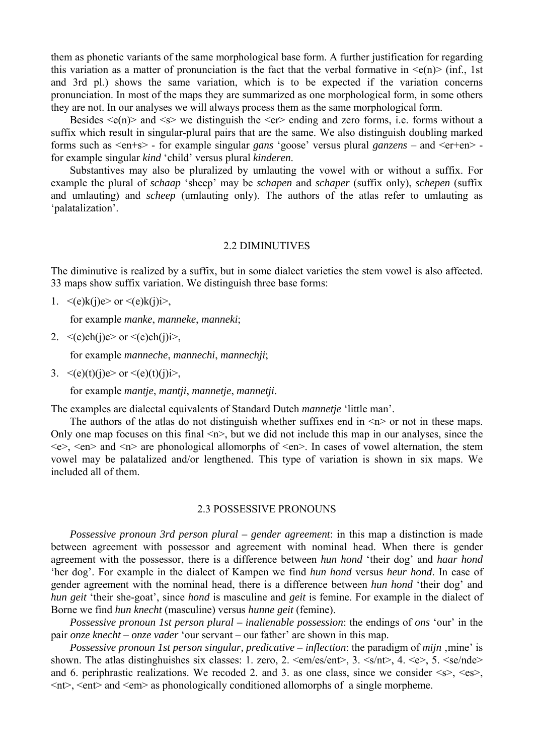them as phonetic variants of the same morphological base form. A further justification for regarding this variation as a matter of pronunciation is the fact that the verbal formative in  $\leq e(n)$  (inf., 1st and 3rd pl.) shows the same variation, which is to be expected if the variation concerns pronunciation. In most of the maps they are summarized as one morphological form, in some others they are not. In our analyses we will always process them as the same morphological form.

Besides  $\leq e(n)$  and  $\leq s$  we distinguish the  $\leq er$  ending and zero forms, i.e. forms without a suffix which result in singular-plural pairs that are the same. We also distinguish doubling marked forms such as <en+s> - for example singular *gans* 'goose' versus plural *ganzens* – and <er+en> for example singular *kind* 'child' versus plural *kinderen*.

 Substantives may also be pluralized by umlauting the vowel with or without a suffix. For example the plural of *schaap* 'sheep' may be *schapen* and *schaper* (suffix only), *schepen* (suffix and umlauting) and *scheep* (umlauting only). The authors of the atlas refer to umlauting as 'palatalization'.

#### 2.2 DIMINUTIVES

The diminutive is realized by a suffix, but in some dialect varieties the stem vowel is also affected. 33 maps show suffix variation. We distinguish three base forms:

1.  $\leq$ (e)k(j)e> or  $\leq$ (e)k(j)i>,

for example *manke*, *manneke*, *manneki*;

2.  $\langle$ (e)ch(j)e> or  $\langle$ (e)ch(j)i>,

for example *manneche*, *mannechi*, *mannechji*;

3.  $\langle e^{i\phi}(t)(i)e^{i\phi} \rangle$  or  $\langle e^{i\phi}(t)(i)i\rangle$ ,

for example *mantje*, *mantji*, *mannetje*, *mannetji*.

The examples are dialectal equivalents of Standard Dutch *mannetje* 'little man'.

The authors of the atlas do not distinguish whether suffixes end in  $\leq n$  or not in these maps. Only one map focuses on this final  $\leq n$ , but we did not include this map in our analyses, since the  $\langle e \rangle$ ,  $\langle en \rangle$  and  $\langle n \rangle$  are phonological allomorphs of  $\langle en \rangle$ . In cases of vowel alternation, the stem vowel may be palatalized and/or lengthened. This type of variation is shown in six maps. We included all of them.

#### 2.3 POSSESSIVE PRONOUNS

 *Possessive pronoun 3rd person plural – gender agreement*: in this map a distinction is made between agreement with possessor and agreement with nominal head. When there is gender agreement with the possessor, there is a difference between *hun hond* 'their dog' and *haar hond* 'her dog'. For example in the dialect of Kampen we find *hun hond* versus *heur hond*. In case of gender agreement with the nominal head, there is a difference between *hun hond* 'their dog' and *hun geit* 'their she-goat', since *hond* is masculine and *geit* is femine. For example in the dialect of Borne we find *hun knecht* (masculine) versus *hunne geit* (femine).

 *Possessive pronoun 1st person plural – inalienable possession*: the endings of *ons* 'our' in the pair *onze knecht* – *onze vader* 'our servant – our father' are shown in this map.

*Possessive pronoun 1st person singular, predicative – inflection: the paradigm of mijn*, mine' is shown. The atlas distinghuishes six classes: 1. zero, 2.  $\leq$ m/es/ent>, 3.  $\leq$ s/nt>, 4.  $\leq$ e>, 5.  $\leq$ se/nde> and 6. periphrastic realizations. We recoded 2, and 3, as one class, since we consider  $\le s$ .  $\le es$ .  $\leq n \to \leq n$  and  $\leq m$  as phonologically conditioned allomorphs of a single morpheme.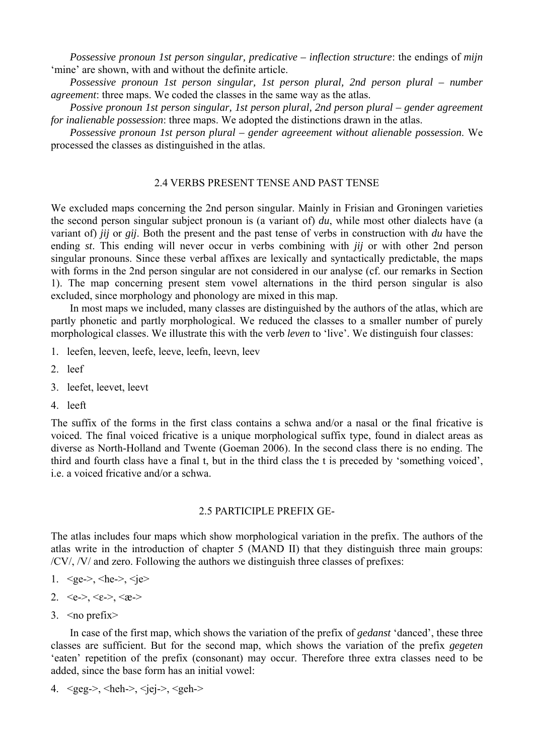*Possessive pronoun 1st person singular, predicative – inflection structure*: the endings of *mijn* 'mine' are shown, with and without the definite article.

 *Possessive pronoun 1st person singular, 1st person plural, 2nd person plural – number agreement*: three maps. We coded the classes in the same way as the atlas.

 *Possive pronoun 1st person singular, 1st person plural, 2nd person plural – gender agreement for inalienable possession*: three maps. We adopted the distinctions drawn in the atlas.

 *Possessive pronoun 1st person plural – gender agreeement without alienable possession*. We processed the classes as distinguished in the atlas.

### 2.4 VERBS PRESENT TENSE AND PAST TENSE

We excluded maps concerning the 2nd person singular. Mainly in Frisian and Groningen varieties the second person singular subject pronoun is (a variant of) *du*, while most other dialects have (a variant of) *jij* or *gij*. Both the present and the past tense of verbs in construction with *du* have the ending *st*. This ending will never occur in verbs combining with *jij* or with other 2nd person singular pronouns. Since these verbal affixes are lexically and syntactically predictable, the maps with forms in the 2nd person singular are not considered in our analyse (cf. our remarks in Section 1). The map concerning present stem vowel alternations in the third person singular is also excluded, since morphology and phonology are mixed in this map.

 In most maps we included, many classes are distinguished by the authors of the atlas, which are partly phonetic and partly morphological. We reduced the classes to a smaller number of purely morphological classes. We illustrate this with the verb *leven* to 'live'. We distinguish four classes:

- 1. leefen, leeven, leefe, leeve, leefn, leevn, leev
- 2. leef
- 3. leefet, leevet, leevt
- 4. leeft

The suffix of the forms in the first class contains a schwa and/or a nasal or the final fricative is voiced. The final voiced fricative is a unique morphological suffix type, found in dialect areas as diverse as North-Holland and Twente (Goeman 2006). In the second class there is no ending. The third and fourth class have a final t, but in the third class the t is preceded by 'something voiced', i.e. a voiced fricative and/or a schwa.

#### 2.5 PARTICIPLE PREFIX GE-

The atlas includes four maps which show morphological variation in the prefix. The authors of the atlas write in the introduction of chapter 5 (MAND II) that they distinguish three main groups: /CV/, /V/ and zero. Following the authors we distinguish three classes of prefixes:

- 1.  $\leq$ ge->,  $\leq$ he->,  $\leq$ je>
- 2.  $\langle e \rangle, \langle e \rangle, \langle x \rangle$
- 3. <no prefix>

 In case of the first map, which shows the variation of the prefix of *gedanst* 'danced', these three classes are sufficient. But for the second map, which shows the variation of the prefix *gegeten* 'eaten' repetition of the prefix (consonant) may occur. Therefore three extra classes need to be added, since the base form has an initial vowel:

4. <geg->, <heh->, <jej->, <geh->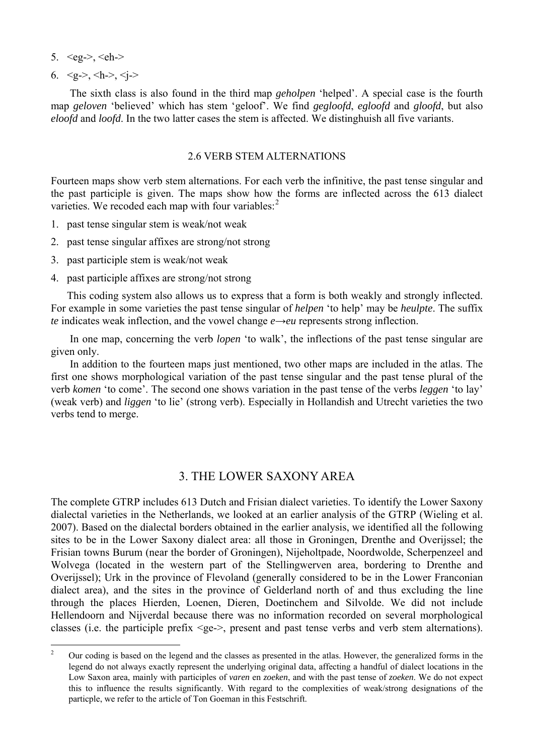- 5.  $<$ eg->,  $<$ eh->
- 6.  $\langle 9 \rangle$ ,  $\langle 1 \rangle$ ,  $\langle 1 \rangle$

 The sixth class is also found in the third map *geholpen* 'helped'. A special case is the fourth map *geloven* 'believed' which has stem 'geloof'. We find *gegloofd*, *egloofd* and *gloofd*, but also *eloofd* and *loofd*. In the two latter cases the stem is affected. We distinghuish all five variants.

### 2.6 VERB STEM ALTERNATIONS

Fourteen maps show verb stem alternations. For each verb the infinitive, the past tense singular and the past participle is given. The maps show how the forms are inflected across the 613 dialect varieties. We recoded each map with four variables:<sup>[2](#page-6-0)</sup>

- 1. past tense singular stem is weak/not weak
- 2. past tense singular affixes are strong/not strong
- 3. past participle stem is weak/not weak
- 4. past participle affixes are strong/not strong

 This coding system also allows us to express that a form is both weakly and strongly inflected. For example in some varieties the past tense singular of *helpen* 'to help' may be *heulpte*. The suffix *te* indicates weak inflection, and the vowel change *e*→*eu* represents strong inflection.

 In one map, concerning the verb *lopen* 'to walk', the inflections of the past tense singular are given only.

 In addition to the fourteen maps just mentioned, two other maps are included in the atlas. The first one shows morphological variation of the past tense singular and the past tense plural of the verb *komen* 'to come'. The second one shows variation in the past tense of the verbs *leggen* 'to lay' (weak verb) and *liggen* 'to lie' (strong verb). Especially in Hollandish and Utrecht varieties the two verbs tend to merge.

## 3. THE LOWER SAXONY AREA

The complete GTRP includes 613 Dutch and Frisian dialect varieties. To identify the Lower Saxony dialectal varieties in the Netherlands, we looked at an earlier analysis of the GTRP (Wieling et al. 2007). Based on the dialectal borders obtained in the earlier analysis, we identified all the following sites to be in the Lower Saxony dialect area: all those in Groningen, Drenthe and Overijssel; the Frisian towns Burum (near the border of Groningen), Nijeholtpade, Noordwolde, Scherpenzeel and Wolvega (located in the western part of the Stellingwerven area, bordering to Drenthe and Overijssel); Urk in the province of Flevoland (generally considered to be in the Lower Franconian dialect area), and the sites in the province of Gelderland north of and thus excluding the line through the places Hierden, Loenen, Dieren, Doetinchem and Silvolde. We did not include Hellendoorn and Nijverdal because there was no information recorded on several morphological classes (i.e. the participle prefix <ge->, present and past tense verbs and verb stem alternations).

<span id="page-6-0"></span> $\frac{1}{2}$  Our coding is based on the legend and the classes as presented in the atlas. However, the generalized forms in the legend do not always exactly represent the underlying original data, affecting a handful of dialect locations in the Low Saxon area, mainly with participles of *varen* en *zoeken*, and with the past tense of *zoeken*. We do not expect this to influence the results significantly. With regard to the complexities of weak/strong designations of the particple, we refer to the article of Ton Goeman in this Festschrift.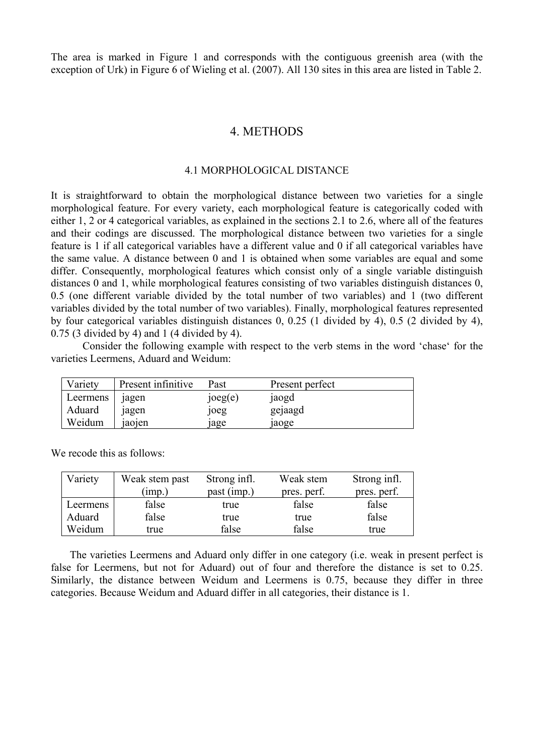The area is marked in Figure 1 and corresponds with the contiguous greenish area (with the exception of Urk) in Figure 6 of Wieling et al. (2007). All 130 sites in this area are listed in Table 2.

## 4. METHODS

#### 4.1 MORPHOLOGICAL DISTANCE

It is straightforward to obtain the morphological distance between two varieties for a single morphological feature. For every variety, each morphological feature is categorically coded with either 1, 2 or 4 categorical variables, as explained in the sections 2.1 to 2.6, where all of the features and their codings are discussed. The morphological distance between two varieties for a single feature is 1 if all categorical variables have a different value and 0 if all categorical variables have the same value. A distance between 0 and 1 is obtained when some variables are equal and some differ. Consequently, morphological features which consist only of a single variable distinguish distances 0 and 1, while morphological features consisting of two variables distinguish distances 0, 0.5 (one different variable divided by the total number of two variables) and 1 (two different variables divided by the total number of two variables). Finally, morphological features represented by four categorical variables distinguish distances 0, 0.25 (1 divided by 4), 0.5 (2 divided by 4), 0.75 (3 divided by 4) and 1 (4 divided by 4).

 Consider the following example with respect to the verb stems in the word 'chase' for the varieties Leermens, Aduard and Weidum:

| Variety  | Present infinitive | Past    | Present perfect |
|----------|--------------------|---------|-----------------|
| Leermens | 1agen              | joeg(e) | jaogd           |
| Aduard   | 1agen              | joeg    | gejaagd         |
| Weidum   | 1a01en             | 1age    | 1aoge           |

| Variety  | Weak stem past | Strong infl. | Weak stem   | Strong infl. |
|----------|----------------|--------------|-------------|--------------|
|          | (imp.)         | past (imp.)  | pres. perf. | pres. perf.  |
| Leermens | false          | true         | false       | false        |
| Aduard   | false          | true         | true        | false        |
| Weidum   | true           | false        | false       | true         |

We recode this as follows:

 The varieties Leermens and Aduard only differ in one category (i.e. weak in present perfect is false for Leermens, but not for Aduard) out of four and therefore the distance is set to 0.25. Similarly, the distance between Weidum and Leermens is 0.75, because they differ in three categories. Because Weidum and Aduard differ in all categories, their distance is 1.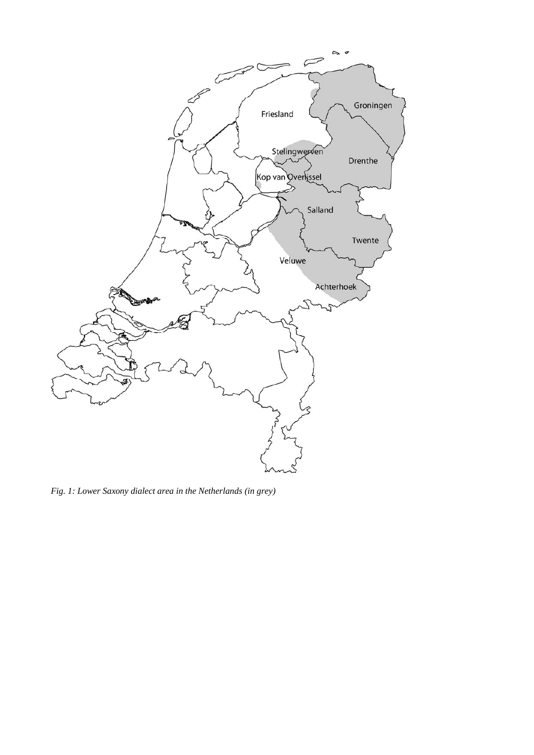

*Fig. 1: Lower Saxony dialect area in the Netherlands (in grey)*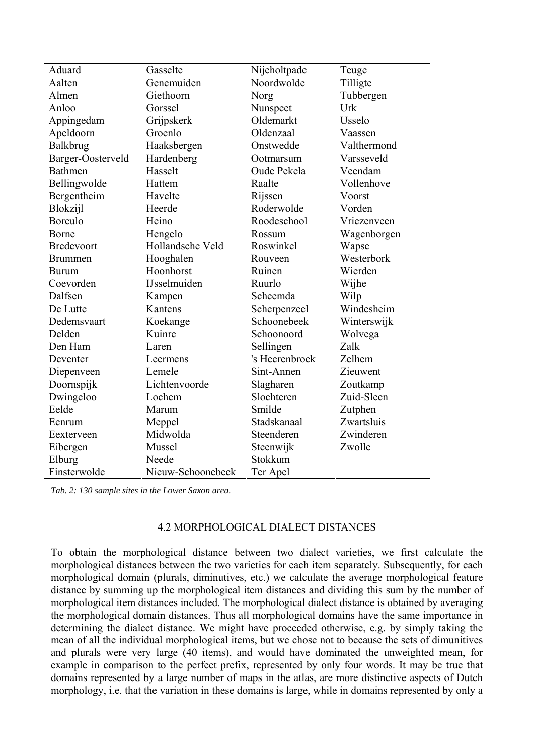| Aduard            | Gasselte          | Nijeholtpade   | Teuge       |
|-------------------|-------------------|----------------|-------------|
| Aalten            | Genemuiden        | Noordwolde     | Tilligte    |
| Almen             | Giethoorn         | Norg           | Tubbergen   |
| Anloo             | Gorssel           | Nunspeet       | Urk         |
| Appingedam        | Grijpskerk        | Oldemarkt      | Usselo      |
| Apeldoorn         | Groenlo           | Oldenzaal      | Vaassen     |
| Balkbrug          | Haaksbergen       | Onstwedde      | Valthermond |
| Barger-Oosterveld | Hardenberg        | Ootmarsum      | Varsseveld  |
| <b>Bathmen</b>    | Hasselt           | Oude Pekela    | Veendam     |
| Bellingwolde      | Hattem            | Raalte         | Vollenhove  |
| Bergentheim       | Havelte           | Rijssen        | Voorst      |
| Blokzijl          | Heerde            | Roderwolde     | Vorden      |
| <b>Borculo</b>    | Heino             | Roodeschool    | Vriezenveen |
| Borne             | Hengelo           | Rossum         | Wagenborgen |
| <b>Bredevoort</b> | Hollandsche Veld  | Roswinkel      | Wapse       |
| <b>Brummen</b>    | Hooghalen         | Rouveen        | Westerbork  |
| <b>Burum</b>      | Hoonhorst         | Ruinen         | Wierden     |
| Coevorden         | IJsselmuiden      | Ruurlo         | Wijhe       |
| Dalfsen           | Kampen            | Scheemda       | Wilp        |
| De Lutte          | Kantens           | Scherpenzeel   | Windesheim  |
| Dedemsvaart       | Koekange          | Schoonebeek    | Winterswijk |
| Delden            | Kuinre            | Schoonoord     | Wolvega     |
| Den Ham           | Laren             | Sellingen      | Zalk        |
| Deventer          | Leermens          | 's Heerenbroek | Zelhem      |
| Diepenveen        | Lemele            | Sint-Annen     | Zieuwent    |
| Doornspijk        | Lichtenvoorde     | Slagharen      | Zoutkamp    |
| Dwingeloo         | Lochem            | Slochteren     | Zuid-Sleen  |
| Eelde             | Marum             | Smilde         | Zutphen     |
| Eenrum            | Meppel            | Stadskanaal    | Zwartsluis  |
| Eexterveen        | Midwolda          | Steenderen     | Zwinderen   |
| Eibergen          | Mussel            | Steenwijk      | Zwolle      |
| Elburg            | Neede             | Stokkum        |             |
| Finsterwolde      | Nieuw-Schoonebeek | Ter Apel       |             |

*Tab. 2: 130 sample sites in the Lower Saxon area.* 

## 4.2 MORPHOLOGICAL DIALECT DISTANCES

To obtain the morphological distance between two dialect varieties, we first calculate the morphological distances between the two varieties for each item separately. Subsequently, for each morphological domain (plurals, diminutives, etc.) we calculate the average morphological feature distance by summing up the morphological item distances and dividing this sum by the number of morphological item distances included. The morphological dialect distance is obtained by averaging the morphological domain distances. Thus all morphological domains have the same importance in determining the dialect distance. We might have proceeded otherwise, e.g. by simply taking the mean of all the individual morphological items, but we chose not to because the sets of dimunitives and plurals were very large (40 items), and would have dominated the unweighted mean, for example in comparison to the perfect prefix, represented by only four words. It may be true that domains represented by a large number of maps in the atlas, are more distinctive aspects of Dutch morphology, i.e. that the variation in these domains is large, while in domains represented by only a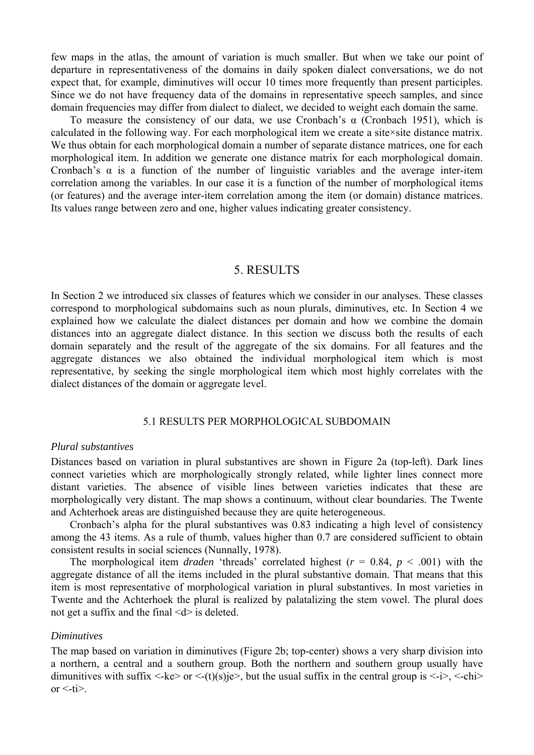few maps in the atlas, the amount of variation is much smaller. But when we take our point of departure in representativeness of the domains in daily spoken dialect conversations, we do not expect that, for example, diminutives will occur 10 times more frequently than present participles. Since we do not have frequency data of the domains in representative speech samples, and since domain frequencies may differ from dialect to dialect, we decided to weight each domain the same.

To measure the consistency of our data, we use Cronbach's  $\alpha$  (Cronbach 1951), which is calculated in the following way. For each morphological item we create a site×site distance matrix. We thus obtain for each morphological domain a number of separate distance matrices, one for each morphological item. In addition we generate one distance matrix for each morphological domain. Cronbach's  $\alpha$  is a function of the number of linguistic variables and the average inter-item correlation among the variables. In our case it is a function of the number of morphological items (or features) and the average inter-item correlation among the item (or domain) distance matrices. Its values range between zero and one, higher values indicating greater consistency.

### 5. RESULTS

In Section 2 we introduced six classes of features which we consider in our analyses. These classes correspond to morphological subdomains such as noun plurals, diminutives, etc. In Section 4 we explained how we calculate the dialect distances per domain and how we combine the domain distances into an aggregate dialect distance. In this section we discuss both the results of each domain separately and the result of the aggregate of the six domains. For all features and the aggregate distances we also obtained the individual morphological item which is most representative, by seeking the single morphological item which most highly correlates with the dialect distances of the domain or aggregate level.

### 5.1 RESULTS PER MORPHOLOGICAL SUBDOMAIN

#### *Plural substantives*

Distances based on variation in plural substantives are shown in Figure 2a (top-left). Dark lines connect varieties which are morphologically strongly related, while lighter lines connect more distant varieties. The absence of visible lines between varieties indicates that these are morphologically very distant. The map shows a continuum, without clear boundaries. The Twente and Achterhoek areas are distinguished because they are quite heterogeneous.

 Cronbach's alpha for the plural substantives was 0.83 indicating a high level of consistency among the 43 items. As a rule of thumb, values higher than 0.7 are considered sufficient to obtain consistent results in social sciences (Nunnally, 1978).

The morphological item *draden* 'threads' correlated highest ( $r = 0.84$ ,  $p < .001$ ) with the aggregate distance of all the items included in the plural substantive domain. That means that this item is most representative of morphological variation in plural substantives. In most varieties in Twente and the Achterhoek the plural is realized by palatalizing the stem vowel. The plural does not get a suffix and the final <d> is deleted.

#### *Diminutives*

The map based on variation in diminutives (Figure 2b; top-center) shows a very sharp division into a northern, a central and a southern group. Both the northern and southern group usually have dimunitives with suffix  $\langle -ke \rangle$  or  $\langle -(t)(s)$  ie  $\rangle$ , but the usual suffix in the central group is  $\langle -i \rangle$ ,  $\langle -chi \rangle$ or  $\le$ -ti $>$ .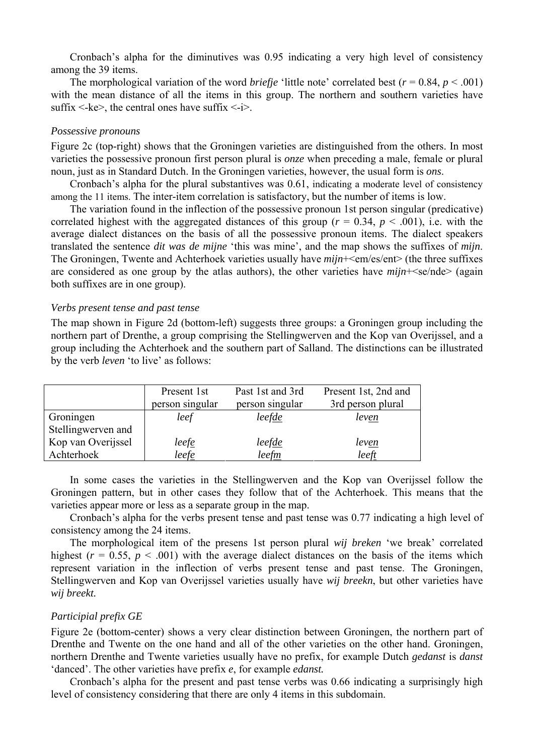Cronbach's alpha for the diminutives was 0.95 indicating a very high level of consistency among the 39 items.

The morphological variation of the word *briefje* 'little note' correlated best ( $r = 0.84$ ,  $p < .001$ ) with the mean distance of all the items in this group. The northern and southern varieties have suffix  $\leq$ -ke $>$ , the central ones have suffix  $\leq$ -i $>$ .

#### *Possessive pronouns*

Figure 2c (top-right) shows that the Groningen varieties are distinguished from the others. In most varieties the possessive pronoun first person plural is *onze* when preceding a male, female or plural noun, just as in Standard Dutch. In the Groningen varieties, however, the usual form is *ons*.

 Cronbach's alpha for the plural substantives was 0.61, indicating a moderate level of consistency among the 11 items. The inter-item correlation is satisfactory, but the number of items is low.

 The variation found in the inflection of the possessive pronoun 1st person singular (predicative) correlated highest with the aggregated distances of this group ( $r = 0.34$ ,  $p < .001$ ), i.e. with the average dialect distances on the basis of all the possessive pronoun items. The dialect speakers translated the sentence *dit was de mijne* 'this was mine', and the map shows the suffixes of *mijn*. The Groningen, Twente and Achterhoek varieties usually have  $mijn + \le m/\text{es}/\text{ent}$  (the three suffixes are considered as one group by the atlas authors), the other varieties have *miin*+ <se/nde > (again both suffixes are in one group).

#### *Verbs present tense and past tense*

The map shown in Figure 2d (bottom-left) suggests three groups: a Groningen group including the northern part of Drenthe, a group comprising the Stellingwerven and the Kop van Overijssel, and a group including the Achterhoek and the southern part of Salland. The distinctions can be illustrated by the verb *leven* 'to live' as follows:

|                    | Present 1st<br>person singular | Past 1st and 3rd<br>person singular | Present 1st, 2nd and<br>3rd person plural |
|--------------------|--------------------------------|-------------------------------------|-------------------------------------------|
| Groningen          | leef                           | leef <u>de</u>                      | leven                                     |
| Stellingwerven and |                                |                                     |                                           |
| Kop van Overijssel | leefe                          | leef <u>de</u>                      | lev <u>en</u>                             |
| Achterhoek         | leefe                          | leefm                               | leq t                                     |

 In some cases the varieties in the Stellingwerven and the Kop van Overijssel follow the Groningen pattern, but in other cases they follow that of the Achterhoek. This means that the varieties appear more or less as a separate group in the map.

 Cronbach's alpha for the verbs present tense and past tense was 0.77 indicating a high level of consistency among the 24 items.

 The morphological item of the presens 1st person plural *wij breken* 'we break' correlated highest ( $r = 0.55$ ,  $p < .001$ ) with the average dialect distances on the basis of the items which represent variation in the inflection of verbs present tense and past tense. The Groningen, Stellingwerven and Kop van Overijssel varieties usually have *wij breekn*, but other varieties have *wij breekt.* 

### *Participial prefix GE*

Figure 2e (bottom-center) shows a very clear distinction between Groningen, the northern part of Drenthe and Twente on the one hand and all of the other varieties on the other hand. Groningen, northern Drenthe and Twente varieties usually have no prefix, for example Dutch *gedanst* is *danst* 'danced'. The other varieties have prefix *e*, for example *edanst.* 

 Cronbach's alpha for the present and past tense verbs was 0.66 indicating a surprisingly high level of consistency considering that there are only 4 items in this subdomain.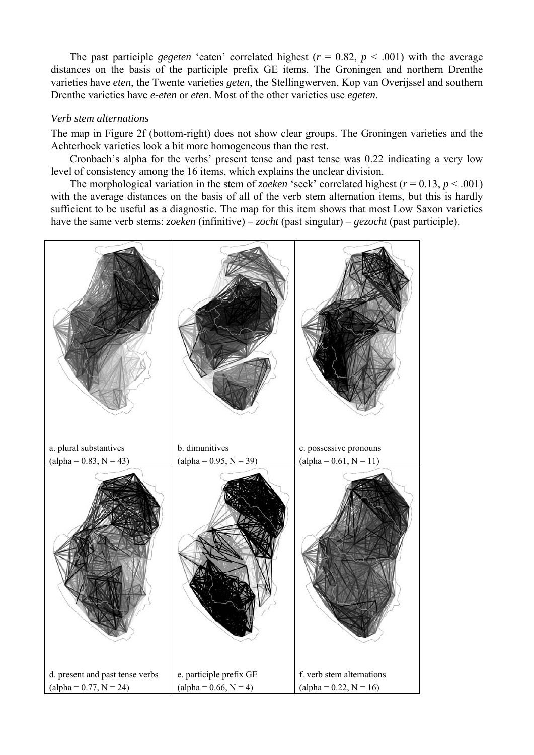The past participle *gegeten* 'eaten' correlated highest ( $r = 0.82$ ,  $p < .001$ ) with the average distances on the basis of the participle prefix GE items. The Groningen and northern Drenthe varieties have *eten*, the Twente varieties *geten*, the Stellingwerven, Kop van Overijssel and southern Drenthe varieties have *e-eten* or *eten*. Most of the other varieties use *egeten*.

### *Verb stem alternations*

The map in Figure 2f (bottom-right) does not show clear groups. The Groningen varieties and the Achterhoek varieties look a bit more homogeneous than the rest.

 Cronbach's alpha for the verbs' present tense and past tense was 0.22 indicating a very low level of consistency among the 16 items, which explains the unclear division.

The morphological variation in the stem of *zoeken* 'seek' correlated highest ( $r = 0.13$ ,  $p < .001$ ) with the average distances on the basis of all of the verb stem alternation items, but this is hardly sufficient to be useful as a diagnostic. The map for this item shows that most Low Saxon varieties have the same verb stems: *zoeken* (infinitive) – *zocht* (past singular) – *gezocht* (past participle).

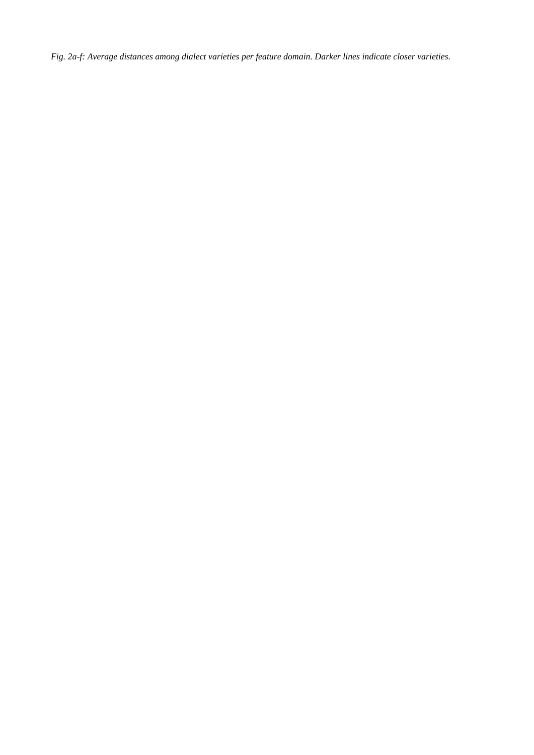*Fig. 2a-f: Average distances among dialect varieties per feature domain. Darker lines indicate closer varieties.*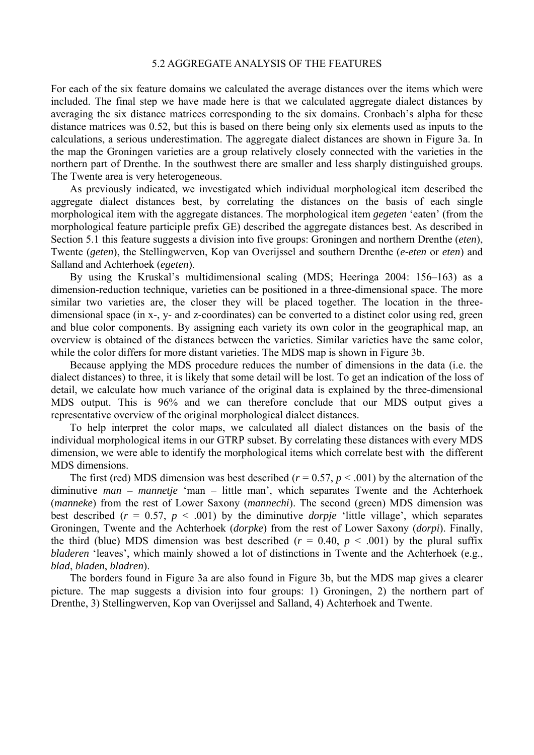### 5.2 AGGREGATE ANALYSIS OF THE FEATURES

For each of the six feature domains we calculated the average distances over the items which were included. The final step we have made here is that we calculated aggregate dialect distances by averaging the six distance matrices corresponding to the six domains. Cronbach's alpha for these distance matrices was 0.52, but this is based on there being only six elements used as inputs to the calculations, a serious underestimation. The aggregate dialect distances are shown in Figure 3a. In the map the Groningen varieties are a group relatively closely connected with the varieties in the northern part of Drenthe. In the southwest there are smaller and less sharply distinguished groups. The Twente area is very heterogeneous.

 As previously indicated, we investigated which individual morphological item described the aggregate dialect distances best, by correlating the distances on the basis of each single morphological item with the aggregate distances. The morphological item *gegeten* 'eaten' (from the morphological feature participle prefix GE) described the aggregate distances best. As described in Section 5.1 this feature suggests a division into five groups: Groningen and northern Drenthe (*eten*), Twente (*geten*), the Stellingwerven, Kop van Overijssel and southern Drenthe (*e-eten* or *eten*) and Salland and Achterhoek (*egeten*).

 By using the Kruskal's multidimensional scaling (MDS; Heeringa 2004: 156–163) as a dimension-reduction technique, varieties can be positioned in a three-dimensional space. The more similar two varieties are, the closer they will be placed together. The location in the threedimensional space (in x-, y- and z-coordinates) can be converted to a distinct color using red, green and blue color components. By assigning each variety its own color in the geographical map, an overview is obtained of the distances between the varieties. Similar varieties have the same color, while the color differs for more distant varieties. The MDS map is shown in Figure 3b.

 Because applying the MDS procedure reduces the number of dimensions in the data (i.e. the dialect distances) to three, it is likely that some detail will be lost. To get an indication of the loss of detail, we calculate how much variance of the original data is explained by the three-dimensional MDS output. This is 96% and we can therefore conclude that our MDS output gives a representative overview of the original morphological dialect distances.

 To help interpret the color maps, we calculated all dialect distances on the basis of the individual morphological items in our GTRP subset. By correlating these distances with every MDS dimension, we were able to identify the morphological items which correlate best with the different MDS dimensions.

The first (red) MDS dimension was best described ( $r = 0.57$ ,  $p < .001$ ) by the alternation of the diminutive *man – mannetje* 'man – little man', which separates Twente and the Achterhoek (*manneke*) from the rest of Lower Saxony (*mannechi*). The second (green) MDS dimension was best described  $(r = 0.57, p < .001)$  by the diminutive *dorpje* 'little village', which separates Groningen, Twente and the Achterhoek (*dorpke*) from the rest of Lower Saxony (*dorpi*). Finally, the third (blue) MDS dimension was best described ( $r = 0.40$ ,  $p < .001$ ) by the plural suffix *bladeren* 'leaves', which mainly showed a lot of distinctions in Twente and the Achterhoek (e.g., *blad*, *bladen*, *bladren*).

 The borders found in Figure 3a are also found in Figure 3b, but the MDS map gives a clearer picture. The map suggests a division into four groups: 1) Groningen, 2) the northern part of Drenthe, 3) Stellingwerven, Kop van Overijssel and Salland, 4) Achterhoek and Twente.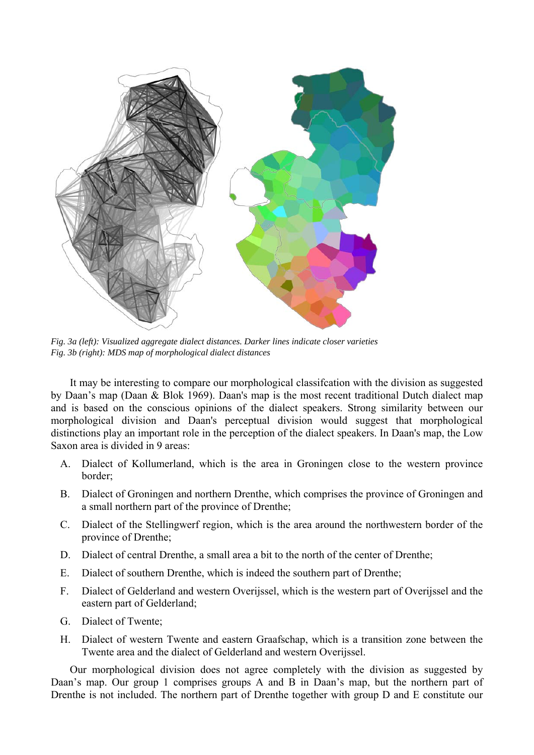

*Fig. 3a (left): Visualized aggregate dialect distances. Darker lines indicate closer varieties Fig. 3b (right): MDS map of morphological dialect distances* 

 It may be interesting to compare our morphological classifcation with the division as suggested by Daan's map (Daan & Blok 1969). Daan's map is the most recent traditional Dutch dialect map and is based on the conscious opinions of the dialect speakers. Strong similarity between our morphological division and Daan's perceptual division would suggest that morphological distinctions play an important role in the perception of the dialect speakers. In Daan's map, the Low Saxon area is divided in 9 areas:

- A. Dialect of Kollumerland, which is the area in Groningen close to the western province border;
- B. Dialect of Groningen and northern Drenthe, which comprises the province of Groningen and a small northern part of the province of Drenthe;
- C. Dialect of the Stellingwerf region, which is the area around the northwestern border of the province of Drenthe;
- D. Dialect of central Drenthe, a small area a bit to the north of the center of Drenthe;
- E. Dialect of southern Drenthe, which is indeed the southern part of Drenthe;
- F. Dialect of Gelderland and western Overijssel, which is the western part of Overijssel and the eastern part of Gelderland;
- G. Dialect of Twente;
- H. Dialect of western Twente and eastern Graafschap, which is a transition zone between the Twente area and the dialect of Gelderland and western Overijssel.

 Our morphological division does not agree completely with the division as suggested by Daan's map. Our group 1 comprises groups A and B in Daan's map, but the northern part of Drenthe is not included. The northern part of Drenthe together with group D and E constitute our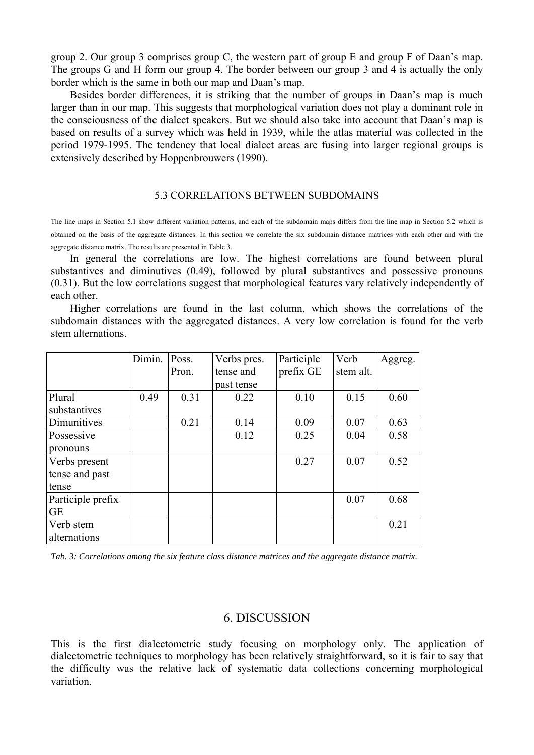group 2. Our group 3 comprises group C, the western part of group E and group F of Daan's map. The groups G and H form our group 4. The border between our group 3 and 4 is actually the only border which is the same in both our map and Daan's map.

 Besides border differences, it is striking that the number of groups in Daan's map is much larger than in our map. This suggests that morphological variation does not play a dominant role in the consciousness of the dialect speakers. But we should also take into account that Daan's map is based on results of a survey which was held in 1939, while the atlas material was collected in the period 1979-1995. The tendency that local dialect areas are fusing into larger regional groups is extensively described by Hoppenbrouwers (1990).

### 5.3 CORRELATIONS BETWEEN SUBDOMAINS

The line maps in Section 5.1 show different variation patterns, and each of the subdomain maps differs from the line map in Section 5.2 which is obtained on the basis of the aggregate distances. In this section we correlate the six subdomain distance matrices with each other and with the aggregate distance matrix. The results are presented in Table 3.

 In general the correlations are low. The highest correlations are found between plural substantives and diminutives (0.49), followed by plural substantives and possessive pronouns (0.31). But the low correlations suggest that morphological features vary relatively independently of each other.

 Higher correlations are found in the last column, which shows the correlations of the subdomain distances with the aggregated distances. A very low correlation is found for the verb stem alternations.

|                   | Dimin. | Poss. | Verbs pres. | Participle | Verb      | Aggreg. |
|-------------------|--------|-------|-------------|------------|-----------|---------|
|                   |        | Pron. | tense and   | prefix GE  | stem alt. |         |
|                   |        |       | past tense  |            |           |         |
| Plural            | 0.49   | 0.31  | 0.22        | 0.10       | 0.15      | 0.60    |
| substantives      |        |       |             |            |           |         |
| Dimunitives       |        | 0.21  | 0.14        | 0.09       | 0.07      | 0.63    |
| Possessive        |        |       | 0.12        | 0.25       | 0.04      | 0.58    |
| pronouns          |        |       |             |            |           |         |
| Verbs present     |        |       |             | 0.27       | 0.07      | 0.52    |
| tense and past    |        |       |             |            |           |         |
| tense             |        |       |             |            |           |         |
| Participle prefix |        |       |             |            | 0.07      | 0.68    |
| <b>GE</b>         |        |       |             |            |           |         |
| Verb stem         |        |       |             |            |           | 0.21    |
| alternations      |        |       |             |            |           |         |

*Tab. 3: Correlations among the six feature class distance matrices and the aggregate distance matrix.* 

## 6. DISCUSSION

This is the first dialectometric study focusing on morphology only. The application of dialectometric techniques to morphology has been relatively straightforward, so it is fair to say that the difficulty was the relative lack of systematic data collections concerning morphological variation.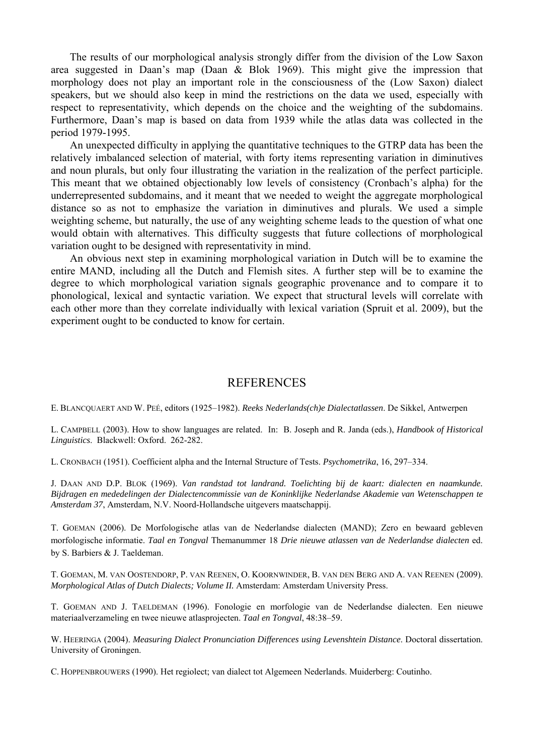The results of our morphological analysis strongly differ from the division of the Low Saxon area suggested in Daan's map (Daan & Blok 1969). This might give the impression that morphology does not play an important role in the consciousness of the (Low Saxon) dialect speakers, but we should also keep in mind the restrictions on the data we used, especially with respect to representativity, which depends on the choice and the weighting of the subdomains. Furthermore, Daan's map is based on data from 1939 while the atlas data was collected in the period 1979-1995.

 An unexpected difficulty in applying the quantitative techniques to the GTRP data has been the relatively imbalanced selection of material, with forty items representing variation in diminutives and noun plurals, but only four illustrating the variation in the realization of the perfect participle. This meant that we obtained objectionably low levels of consistency (Cronbach's alpha) for the underrepresented subdomains, and it meant that we needed to weight the aggregate morphological distance so as not to emphasize the variation in diminutives and plurals. We used a simple weighting scheme, but naturally, the use of any weighting scheme leads to the question of what one would obtain with alternatives. This difficulty suggests that future collections of morphological variation ought to be designed with representativity in mind.

 An obvious next step in examining morphological variation in Dutch will be to examine the entire MAND, including all the Dutch and Flemish sites. A further step will be to examine the degree to which morphological variation signals geographic provenance and to compare it to phonological, lexical and syntactic variation. We expect that structural levels will correlate with each other more than they correlate individually with lexical variation (Spruit et al. 2009), but the experiment ought to be conducted to know for certain.

#### REFERENCES

E. BLANCQUAERT AND W. PEÉ, editors (1925–1982). *Reeks Nederlands(ch)e Dialectatlassen*. De Sikkel, Antwerpen

L. CAMPBELL (2003). How to show languages are related. In: B. Joseph and R. Janda (eds.), *Handbook of Historical Linguistics*. Blackwell: Oxford. 262-282.

L. CRONBACH (1951). Coefficient alpha and the Internal Structure of Tests. *Psychometrika*, 16, 297–334.

J. DAAN AND D.P. BLOK (1969). *Van randstad tot landrand. Toelichting bij de kaart: dialecten en naamkunde. Bijdragen en mededelingen der Dialectencommissie van de Koninklijke Nederlandse Akademie van Wetenschappen te Amsterdam 37*, Amsterdam, N.V. Noord-Hollandsche uitgevers maatschappij.

T. GOEMAN (2006). De Morfologische atlas van de Nederlandse dialecten (MAND); Zero en bewaard gebleven morfologische informatie. *Taal en Tongval* Themanummer 18 *Drie nieuwe atlassen van de Nederlandse dialecten* ed. by S. Barbiers & J. Taeldeman.

T. GOEMAN, M. VAN OOSTENDORP, P. VAN REENEN, O. KOORNWINDER, B. VAN DEN BERG AND A. VAN REENEN (2009). *Morphological Atlas of Dutch Dialects; Volume II.* Amsterdam: Amsterdam University Press.

T. GOEMAN AND J. TAELDEMAN (1996). Fonologie en morfologie van de Nederlandse dialecten. Een nieuwe materiaalverzameling en twee nieuwe atlasprojecten. *Taal en Tongval*, 48:38–59.

W. HEERINGA (2004). *Measuring Dialect Pronunciation Differences using Levenshtein Distance*. Doctoral dissertation. University of Groningen.

C. HOPPENBROUWERS (1990). Het regiolect; van dialect tot Algemeen Nederlands. Muiderberg: Coutinho.